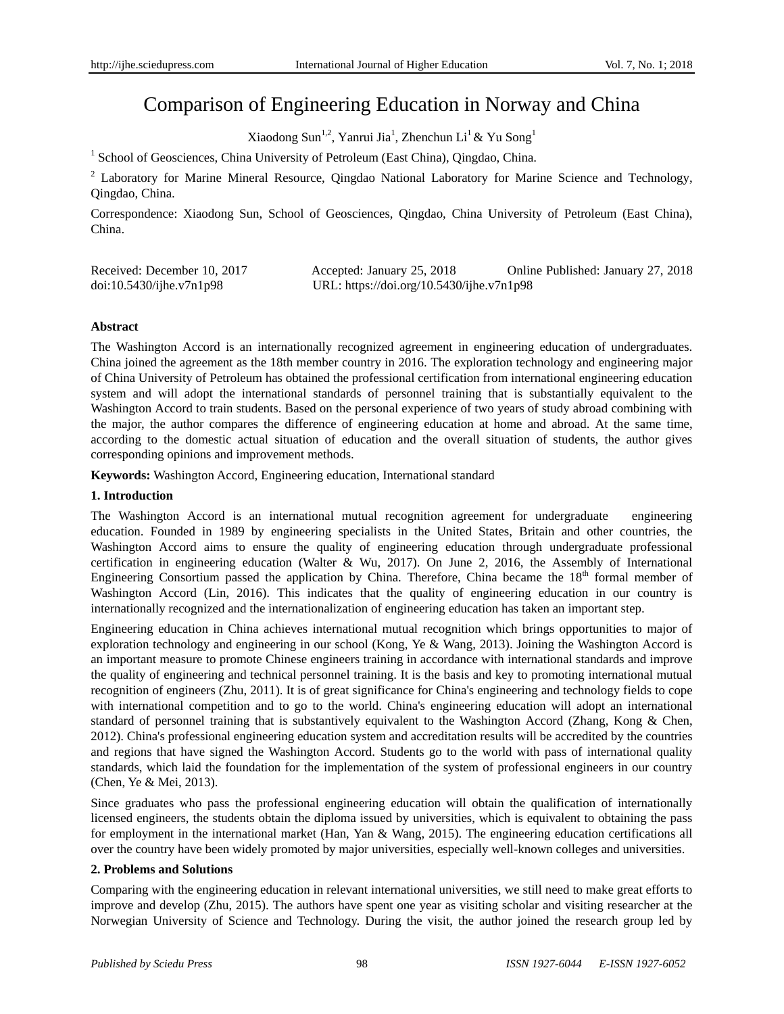# Comparison of Engineering Education in Norway and China

Xiaodong Sun<sup>1,2</sup>, Yanrui Jia<sup>1</sup>, Zhenchun Li<sup>1</sup> & Yu Song<sup>1</sup>

<sup>1</sup> School of Geosciences, China University of Petroleum (East China), Qingdao, China.

<sup>2</sup> Laboratory for Marine Mineral Resource, Qingdao National Laboratory for Marine Science and Technology, Qingdao, China.

Correspondence: Xiaodong Sun, School of Geosciences, Qingdao, China University of Petroleum (East China), China.

| Received: December 10, 2017 | Accepted: January 25, 2018                | Online Published: January 27, 2018 |
|-----------------------------|-------------------------------------------|------------------------------------|
| doi:10.5430/ijhe.v7n1p98    | URL: https://doi.org/10.5430/ijhe.v7n1p98 |                                    |

# **Abstract**

The Washington Accord is an internationally recognized agreement in engineering education of undergraduates. China joined the agreement as the 18th member country in 2016. The exploration technology and engineering major of China University of Petroleum has obtained the professional certification from international engineering education system and will adopt the international standards of personnel training that is substantially equivalent to the Washington Accord to train students. Based on the personal experience of two years of study abroad combining with the major, the author compares the difference of engineering education at home and abroad. At the same time, according to the domestic actual situation of education and the overall situation of students, the author gives corresponding opinions and improvement methods.

**Keywords:** Washington Accord, Engineering education, International standard

## **1. Introduction**

The Washington Accord is an international mutual recognition agreement for undergraduate engineering education. Founded in 1989 by engineering specialists in the United States, Britain and other countries, the Washington Accord aims to ensure the quality of engineering education through undergraduate professional certification in engineering education (Walter & Wu, 2017). On June 2, 2016, the Assembly of International Engineering Consortium passed the application by China. Therefore, China became the 18<sup>th</sup> formal member of Washington Accord (Lin, 2016). This indicates that the quality of engineering education in our country is internationally recognized and the internationalization of engineering education has taken an important step.

Engineering education in China achieves international mutual recognition which brings opportunities to major of exploration technology and engineering in our school (Kong, Ye & Wang, 2013). Joining the Washington Accord is an important measure to promote Chinese engineers training in accordance with international standards and improve the quality of engineering and technical personnel training. It is the basis and key to promoting international mutual recognition of engineers (Zhu, 2011). It is of great significance for China's engineering and technology fields to cope with international competition and to go to the world. China's engineering education will adopt an international standard of personnel training that is substantively equivalent to the Washington Accord (Zhang, Kong & Chen, 2012). China's professional engineering education system and accreditation results will be accredited by the countries and regions that have signed the Washington Accord. Students go to the world with pass of international quality standards, which laid the foundation for the implementation of the system of professional engineers in our country (Chen, Ye & Mei, 2013).

Since graduates who pass the professional engineering education will obtain the qualification of internationally licensed engineers, the students obtain the diploma issued by universities, which is equivalent to obtaining the pass for employment in the international market (Han, Yan & Wang, 2015). The engineering education certifications all over the country have been widely promoted by major universities, especially well-known colleges and universities.

# **2. Problems and Solutions**

Comparing with the engineering education in relevant international universities, we still need to make great efforts to improve and develop (Zhu, 2015). The authors have spent one year as visiting scholar and visiting researcher at the Norwegian University of Science and Technology. During the visit, the author joined the research group led by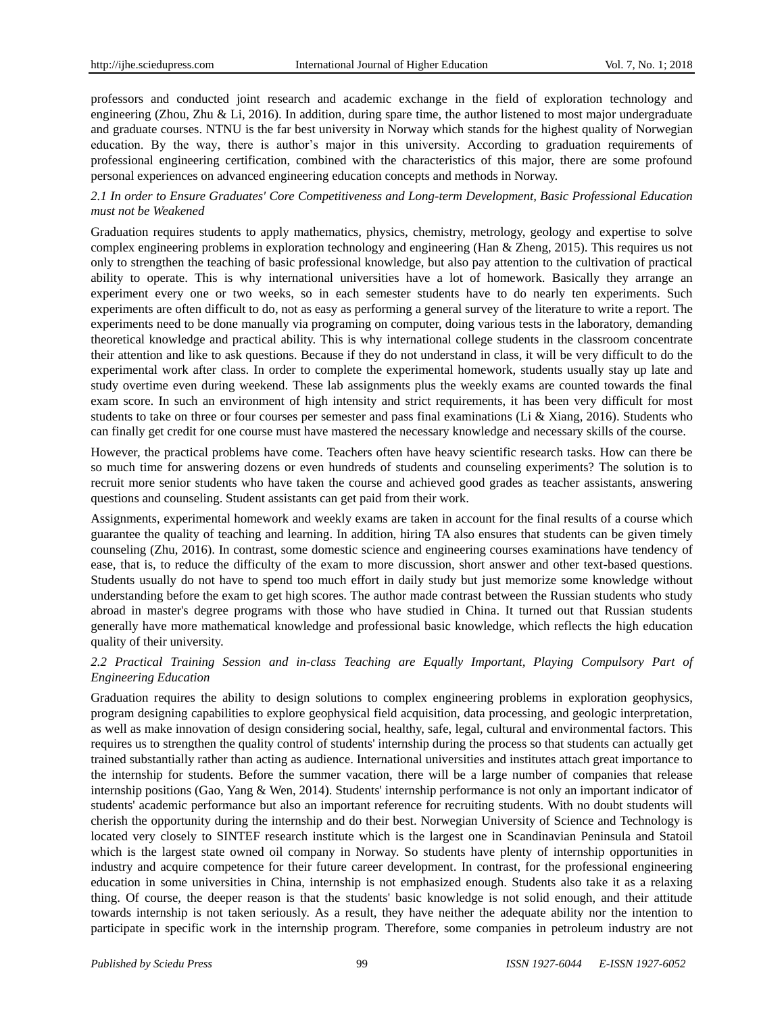professors and conducted joint research and academic exchange in the field of exploration technology and engineering (Zhou, Zhu & Li, 2016). In addition, during spare time, the author listened to most major undergraduate and graduate courses. NTNU is the far best university in Norway which stands for the highest quality of Norwegian education. By the way, there is author's major in this university. According to graduation requirements of professional engineering certification, combined with the characteristics of this major, there are some profound personal experiences on advanced engineering education concepts and methods in Norway.

# *2.1 In order to Ensure Graduates' Core Competitiveness and Long-term Development, Basic Professional Education must not be Weakened*

Graduation requires students to apply mathematics, physics, chemistry, metrology, geology and expertise to solve complex engineering problems in exploration technology and engineering (Han & Zheng, 2015). This requires us not only to strengthen the teaching of basic professional knowledge, but also pay attention to the cultivation of practical ability to operate. This is why international universities have a lot of homework. Basically they arrange an experiment every one or two weeks, so in each semester students have to do nearly ten experiments. Such experiments are often difficult to do, not as easy as performing a general survey of the literature to write a report. The experiments need to be done manually via programing on computer, doing various tests in the laboratory, demanding theoretical knowledge and practical ability. This is why international college students in the classroom concentrate their attention and like to ask questions. Because if they do not understand in class, it will be very difficult to do the experimental work after class. In order to complete the experimental homework, students usually stay up late and study overtime even during weekend. These lab assignments plus the weekly exams are counted towards the final exam score. In such an environment of high intensity and strict requirements, it has been very difficult for most students to take on three or four courses per semester and pass final examinations (Li & Xiang, 2016). Students who can finally get credit for one course must have mastered the necessary knowledge and necessary skills of the course.

However, the practical problems have come. Teachers often have heavy scientific research tasks. How can there be so much time for answering dozens or even hundreds of students and counseling experiments? The solution is to recruit more senior students who have taken the course and achieved good grades as teacher assistants, answering questions and counseling. Student assistants can get paid from their work.

Assignments, experimental homework and weekly exams are taken in account for the final results of a course which guarantee the quality of teaching and learning. In addition, hiring TA also ensures that students can be given timely counseling (Zhu, 2016). In contrast, some domestic science and engineering courses examinations have tendency of ease, that is, to reduce the difficulty of the exam to more discussion, short answer and other text-based questions. Students usually do not have to spend too much effort in daily study but just memorize some knowledge without understanding before the exam to get high scores. The author made contrast between the Russian students who study abroad in master's degree programs with those who have studied in China. It turned out that Russian students generally have more mathematical knowledge and professional basic knowledge, which reflects the high education quality of their university.

# *2.2 Practical Training Session and in-class Teaching are Equally Important, Playing Compulsory Part of Engineering Education*

Graduation requires the ability to design solutions to complex engineering problems in exploration geophysics, program designing capabilities to explore geophysical field acquisition, data processing, and geologic interpretation, as well as make innovation of design considering social, healthy, safe, legal, cultural and environmental factors. This requires us to strengthen the quality control of students' internship during the process so that students can actually get trained substantially rather than acting as audience. International universities and institutes attach great importance to the internship for students. Before the summer vacation, there will be a large number of companies that release internship positions (Gao, Yang & Wen, 2014). Students' internship performance is not only an important indicator of students' academic performance but also an important reference for recruiting students. With no doubt students will cherish the opportunity during the internship and do their best. Norwegian University of Science and Technology is located very closely to SINTEF research institute which is the largest one in [Scandinavian Peninsula](http://www.so.com/link?url=http%3A%2F%2Fdict.youdao.com%2Fsearch%3Fq%3DScandinavian%2520Peninsula%26keyfrom%3Dhao360&q=%E6%96%AF%E5%A0%AA%E7%9A%84%E7%BA%B3%E7%BB%B4%E4%BA%9A%E5%8D%8A%E5%B2%9B+%E7%BF%BB%E8%AF%91&ts=1516849511&t=4e27fa8daa3f4b9a27870cec60b5d8a) and Statoil which is the largest state owned oil company in Norway. So students have plenty of internship opportunities in industry and acquire competence for their future career development. In contrast, for the professional engineering education in some universities in China, internship is not emphasized enough. Students also take it as a relaxing thing. Of course, the deeper reason is that the students' basic knowledge is not solid enough, and their attitude towards internship is not taken seriously. As a result, they have neither the adequate ability nor the intention to participate in specific work in the internship program. Therefore, some companies in petroleum industry are not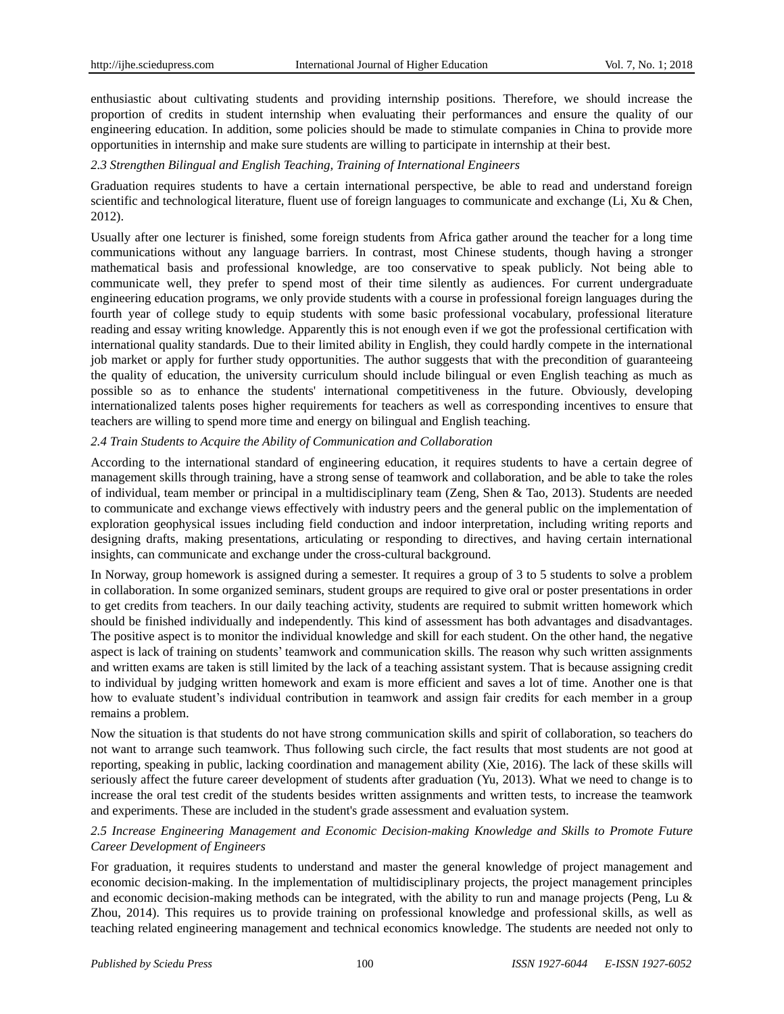enthusiastic about cultivating students and providing internship positions. Therefore, we should increase the proportion of credits in student internship when evaluating their performances and ensure the quality of our engineering education. In addition, some policies should be made to stimulate companies in China to provide more opportunities in internship and make sure students are willing to participate in internship at their best.

### *2.3 Strengthen Bilingual and English Teaching, Training of International Engineers*

Graduation requires students to have a certain international perspective, be able to read and understand foreign scientific and technological literature, fluent use of foreign languages to communicate and exchange (Li, Xu & Chen, 2012).

Usually after one lecturer is finished, some foreign students from Africa gather around the teacher for a long time communications without any language barriers. In contrast, most Chinese students, though having a stronger mathematical basis and professional knowledge, are too conservative to speak publicly. Not being able to communicate well, they prefer to spend most of their time silently as audiences. For current undergraduate engineering education programs, we only provide students with a course in professional foreign languages during the fourth year of college study to equip students with some basic professional vocabulary, professional literature reading and essay writing knowledge. Apparently this is not enough even if we got the professional certification with international quality standards. Due to their limited ability in English, they could hardly compete in the international job market or apply for further study opportunities. The author suggests that with the precondition of guaranteeing the quality of education, the university curriculum should include bilingual or even English teaching as much as possible so as to enhance the students' international competitiveness in the future. Obviously, developing internationalized talents poses higher requirements for teachers as well as corresponding incentives to ensure that teachers are willing to spend more time and energy on bilingual and English teaching.

## *2.4 Train Students to Acquire the Ability of Communication and Collaboration*

According to the international standard of engineering education, it requires students to have a certain degree of management skills through training, have a strong sense of teamwork and collaboration, and be able to take the roles of individual, team member or principal in a multidisciplinary team (Zeng, Shen & Tao, 2013). Students are needed to communicate and exchange views effectively with industry peers and the general public on the implementation of exploration geophysical issues including field conduction and indoor interpretation, including writing reports and designing drafts, making presentations, articulating or responding to directives, and having certain international insights, can communicate and exchange under the cross-cultural background.

In Norway, group homework is assigned during a semester. It requires a group of 3 to 5 students to solve a problem in collaboration. In some organized seminars, student groups are required to give oral or poster presentations in order to get credits from teachers. In our daily teaching activity, students are required to submit written homework which should be finished individually and independently. This kind of assessment has both advantages and disadvantages. The positive aspect is to monitor the individual knowledge and skill for each student. On the other hand, the negative aspect is lack of training on students' teamwork and communication skills. The reason why such written assignments and written exams are taken is still limited by the lack of a teaching assistant system. That is because assigning credit to individual by judging written homework and exam is more efficient and saves a lot of time. Another one is that how to evaluate student's individual contribution in teamwork and assign fair credits for each member in a group remains a problem.

Now the situation is that students do not have strong communication skills and spirit of collaboration, so teachers do not want to arrange such teamwork. Thus following such circle, the fact results that most students are not good at reporting, speaking in public, lacking coordination and management ability (Xie, 2016). The lack of these skills will seriously affect the future career development of students after graduation (Yu, 2013). What we need to change is to increase the oral test credit of the students besides written assignments and written tests, to increase the teamwork and experiments. These are included in the student's grade assessment and evaluation system.

# *2.5 Increase Engineering Management and Economic Decision-making Knowledge and Skills to Promote Future Career Development of Engineers*

For graduation, it requires students to understand and master the general knowledge of project management and economic decision-making. In the implementation of multidisciplinary projects, the project management principles and economic decision-making methods can be integrated, with the ability to run and manage projects (Peng, Lu & Zhou, 2014). This requires us to provide training on professional knowledge and professional skills, as well as teaching related engineering management and technical economics knowledge. The students are needed not only to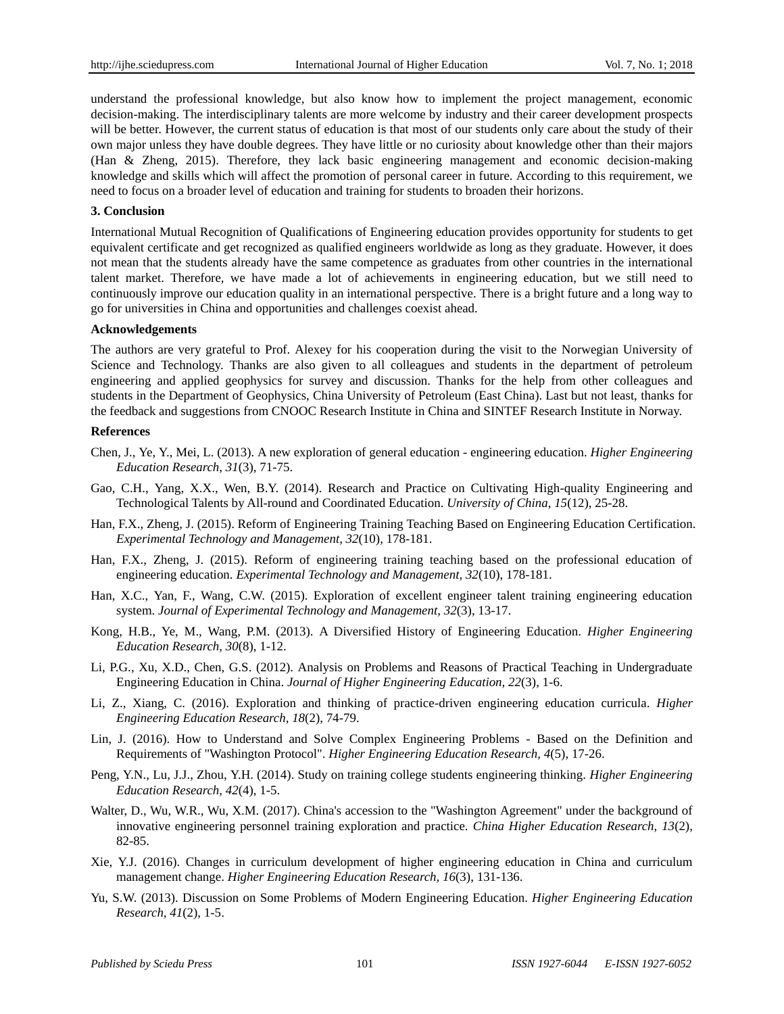understand the professional knowledge, but also know how to implement the project management, economic decision-making. The interdisciplinary talents are more welcome by industry and their career development prospects will be better. However, the current status of education is that most of our students only care about the study of their own major unless they have double degrees. They have little or no curiosity about knowledge other than their majors (Han & Zheng, 2015). Therefore, they lack basic engineering management and economic decision-making knowledge and skills which will affect the promotion of personal career in future. According to this requirement, we need to focus on a broader level of education and training for students to broaden their horizons.

#### **3. Conclusion**

International Mutual Recognition of Qualifications of Engineering education provides opportunity for students to get equivalent certificate and get recognized as qualified engineers worldwide as long as they graduate. However, it does not mean that the students already have the same competence as graduates from other countries in the international talent market. Therefore, we have made a lot of achievements in engineering education, but we still need to continuously improve our education quality in an international perspective. There is a bright future and a long way to go for universities in China and opportunities and challenges coexist ahead.

#### **Acknowledgements**

The authors are very grateful to Prof. Alexey for his cooperation during the visit to the Norwegian University of Science and Technology. Thanks are also given to all colleagues and students in the department of petroleum engineering and applied geophysics for survey and discussion. Thanks for the help from other colleagues and students in the Department of Geophysics, China University of Petroleum (East China). Last but not least, thanks for the feedback and suggestions from CNOOC Research Institute in China and SINTEF Research Institute in Norway.

#### **References**

- Chen, J., Ye, Y., Mei, L. (2013). A new exploration of general education engineering education. *Higher Engineering Education Research, 31*(3), 71-75.
- Gao, C.H., Yang, X.X., Wen, B.Y. (2014). Research and Practice on Cultivating High-quality Engineering and Technological Talents by All-round and Coordinated Education. *University of China, 15*(12), 25-28.
- Han, F.X., Zheng, J. (2015). Reform of Engineering Training Teaching Based on Engineering Education Certification. *Experimental Technology and Management, 32*(10), 178-181.
- Han, F.X., Zheng, J. (2015). Reform of engineering training teaching based on the professional education of engineering education. *Experimental Technology and Management, 32*(10), 178-181.
- Han, X.C., Yan, F., Wang, C.W. (2015). Exploration of excellent engineer talent training engineering education system. *Journal of Experimental Technology and Management, 32*(3), 13-17.
- Kong, H.B., Ye, M., Wang, P.M. (2013). A Diversified History of Engineering Education. *Higher Engineering Education Research, 30*(8), 1-12.
- Li, P.G., Xu, X.D., Chen, G.S. (2012). Analysis on Problems and Reasons of Practical Teaching in Undergraduate Engineering Education in China. *Journal of Higher Engineering Education, 22*(3), 1-6.
- Li, Z., Xiang, C. (2016). Exploration and thinking of practice-driven engineering education curricula. *Higher Engineering Education Research, 18*(2), 74-79.
- Lin, J. (2016). How to Understand and Solve Complex Engineering Problems Based on the Definition and Requirements of "Washington Protocol". *Higher Engineering Education Research, 4*(5), 17-26.
- Peng, Y.N., Lu, J.J., Zhou, Y.H. (2014). Study on training college students engineering thinking. *Higher Engineering Education Research, 42*(4), 1-5.
- Walter, D., Wu, W.R., Wu, X.M. (2017). China's accession to the "Washington Agreement" under the background of innovative engineering personnel training exploration and practice. *China Higher Education Research, 13*(2), 82-85.
- Xie, Y.J. (2016). Changes in curriculum development of higher engineering education in China and curriculum management change. *Higher Engineering Education Research, 16*(3), 131-136.
- Yu, S.W. (2013). Discussion on Some Problems of Modern Engineering Education. *Higher Engineering Education Research, 41*(2), 1-5.